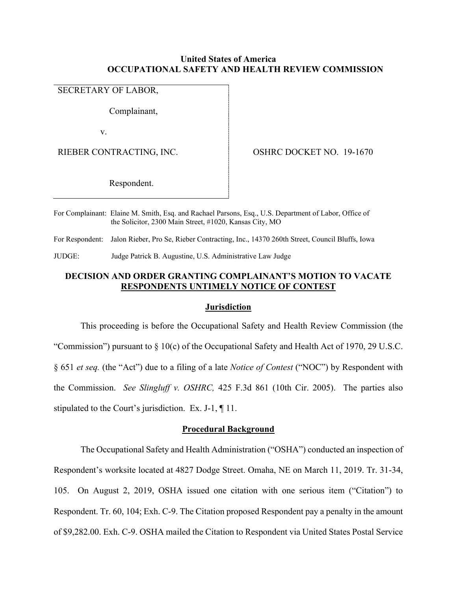### **United States of America OCCUPATIONAL SAFETY AND HEALTH REVIEW COMMISSION**

## SECRETARY OF LABOR,

Complainant,

v.

RIEBER CONTRACTING, INC.  $\vert$  OSHRC DOCKET NO. 19-1670

Respondent.

For Complainant: Elaine M. Smith, Esq. and Rachael Parsons, Esq., U.S. Department of Labor, Office of the Solicitor, 2300 Main Street, #1020, Kansas City, MO

For Respondent: Jalon Rieber, Pro Se, Rieber Contracting, Inc., 14370 260th Street, Council Bluffs, Iowa

JUDGE: Judge Patrick B. Augustine, U.S. Administrative Law Judge

# **DECISION AND ORDER GRANTING COMPLAINANT'S MOTION TO VACATE RESPONDENTS UNTIMELY NOTICE OF CONTEST**

### **Jurisdiction**

This proceeding is before the Occupational Safety and Health Review Commission (the "Commission") pursuant to § 10(c) of the Occupational Safety and Health Act of 1970, 29 U.S.C. § 651 *et seq.* (the "Act") due to a filing of a late *Notice of Contest* ("NOC") by Respondent with the Commission. *See Slingluff v. OSHRC,* 425 F.3d 861 (10th Cir. 2005). The parties also stipulated to the Court's jurisdiction. Ex. J-1, ¶ 11.

### **Procedural Background**

The Occupational Safety and Health Administration ("OSHA") conducted an inspection of Respondent's worksite located at 4827 Dodge Street. Omaha, NE on March 11, 2019. Tr. 31-34, 105. On August 2, 2019, OSHA issued one citation with one serious item ("Citation") to Respondent. Tr. 60, 104; Exh. C-9. The Citation proposed Respondent pay a penalty in the amount of \$9,282.00. Exh. C-9. OSHA mailed the Citation to Respondent via United States Postal Service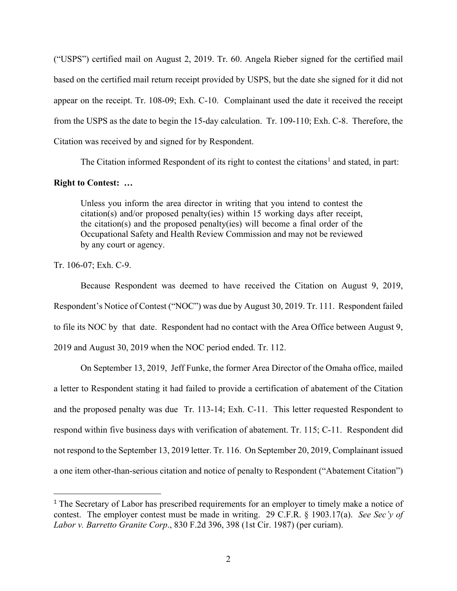("USPS") certified mail on August 2, 2019. Tr. 60. Angela Rieber signed for the certified mail based on the certified mail return receipt provided by USPS, but the date she signed for it did not appear on the receipt. Tr. 108-09; Exh. C-10. Complainant used the date it received the receipt from the USPS as the date to begin the 15-day calculation. Tr. 109-110; Exh. C-8. Therefore, the Citation was received by and signed for by Respondent.

The Citation informed Respondent of its right to contest the citations<sup>[1](#page-1-0)</sup> and stated, in part:

## **Right to Contest: …**

Unless you inform the area director in writing that you intend to contest the citation(s) and/or proposed penalty(ies) within 15 working days after receipt, the citation(s) and the proposed penalty(ies) will become a final order of the Occupational Safety and Health Review Commission and may not be reviewed by any court or agency.

Tr. 106-07; Exh. C-9.

Because Respondent was deemed to have received the Citation on August 9, 2019, Respondent's Notice of Contest ("NOC") was due by August 30, 2019. Tr. 111. Respondent failed to file its NOC by that date. Respondent had no contact with the Area Office between August 9, 2019 and August 30, 2019 when the NOC period ended. Tr. 112.

On September 13, 2019, Jeff Funke, the former Area Director of the Omaha office, mailed a letter to Respondent stating it had failed to provide a certification of abatement of the Citation and the proposed penalty was due Tr. 113-14; Exh. C-11. This letter requested Respondent to respond within five business days with verification of abatement. Tr. 115; C-11. Respondent did not respond to the September 13, 2019 letter. Tr. 116. On September 20, 2019, Complainant issued a one item other-than-serious citation and notice of penalty to Respondent ("Abatement Citation")

<span id="page-1-0"></span><sup>&</sup>lt;sup>1</sup> The Secretary of Labor has prescribed requirements for an employer to timely make a notice of contest. The employer contest must be made in writing. 29 C.F.R. § 1903.17(a). *See Sec'y of Labor v. Barretto Granite Corp*., 830 F.2d 396, 398 (1st Cir. 1987) (per curiam).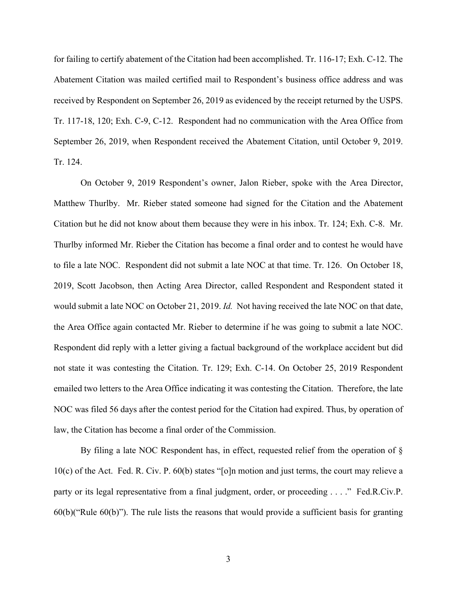for failing to certify abatement of the Citation had been accomplished. Tr. 116-17; Exh. C-12. The Abatement Citation was mailed certified mail to Respondent's business office address and was received by Respondent on September 26, 2019 as evidenced by the receipt returned by the USPS. Tr. 117-18, 120; Exh. C-9, C-12. Respondent had no communication with the Area Office from September 26, 2019, when Respondent received the Abatement Citation, until October 9, 2019. Tr. 124.

On October 9, 2019 Respondent's owner, Jalon Rieber, spoke with the Area Director, Matthew Thurlby. Mr. Rieber stated someone had signed for the Citation and the Abatement Citation but he did not know about them because they were in his inbox. Tr. 124; Exh. C-8. Mr. Thurlby informed Mr. Rieber the Citation has become a final order and to contest he would have to file a late NOC. Respondent did not submit a late NOC at that time. Tr. 126. On October 18, 2019, Scott Jacobson, then Acting Area Director, called Respondent and Respondent stated it would submit a late NOC on October 21, 2019. *Id.* Not having received the late NOC on that date, the Area Office again contacted Mr. Rieber to determine if he was going to submit a late NOC. Respondent did reply with a letter giving a factual background of the workplace accident but did not state it was contesting the Citation. Tr. 129; Exh. C-14. On October 25, 2019 Respondent emailed two letters to the Area Office indicating it was contesting the Citation. Therefore, the late NOC was filed 56 days after the contest period for the Citation had expired. Thus, by operation of law, the Citation has become a final order of the Commission.

By filing a late NOC Respondent has, in effect, requested relief from the operation of § 10(c) of the Act. Fed. R. Civ. P. 60(b) states "[o]n motion and just terms, the court may relieve a party or its legal representative from a final judgment, order, or proceeding . . . ." Fed.R.Civ.P.  $60(b)$ ("Rule  $60(b)$ "). The rule lists the reasons that would provide a sufficient basis for granting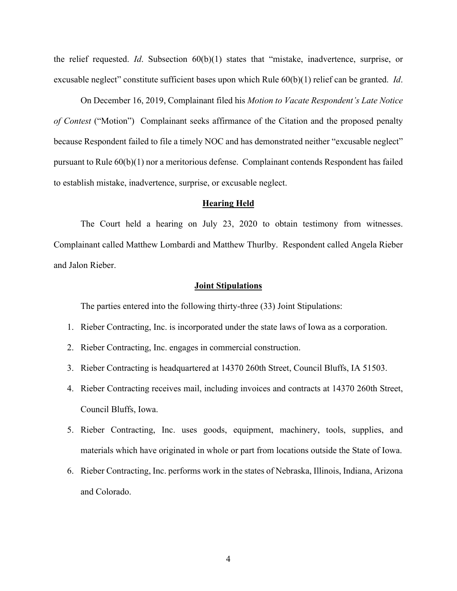the relief requested. *Id*. Subsection 60(b)(1) states that "mistake, inadvertence, surprise, or excusable neglect" constitute sufficient bases upon which Rule 60(b)(1) relief can be granted. *Id*.

On December 16, 2019, Complainant filed his *Motion to Vacate Respondent's Late Notice of Contest* ("Motion") Complainant seeks affirmance of the Citation and the proposed penalty because Respondent failed to file a timely NOC and has demonstrated neither "excusable neglect" pursuant to Rule 60(b)(1) nor a meritorious defense. Complainant contends Respondent has failed to establish mistake, inadvertence, surprise, or excusable neglect.

#### **Hearing Held**

The Court held a hearing on July 23, 2020 to obtain testimony from witnesses. Complainant called Matthew Lombardi and Matthew Thurlby. Respondent called Angela Rieber and Jalon Rieber.

#### **Joint Stipulations**

The parties entered into the following thirty-three (33) Joint Stipulations:

- 1. Rieber Contracting, Inc. is incorporated under the state laws of Iowa as a corporation.
- 2. Rieber Contracting, Inc. engages in commercial construction.
- 3. Rieber Contracting is headquartered at 14370 260th Street, Council Bluffs, IA 51503.
- 4. Rieber Contracting receives mail, including invoices and contracts at 14370 260th Street, Council Bluffs, Iowa.
- 5. Rieber Contracting, Inc. uses goods, equipment, machinery, tools, supplies, and materials which have originated in whole or part from locations outside the State of Iowa.
- 6. Rieber Contracting, Inc. performs work in the states of Nebraska, Illinois, Indiana, Arizona and Colorado.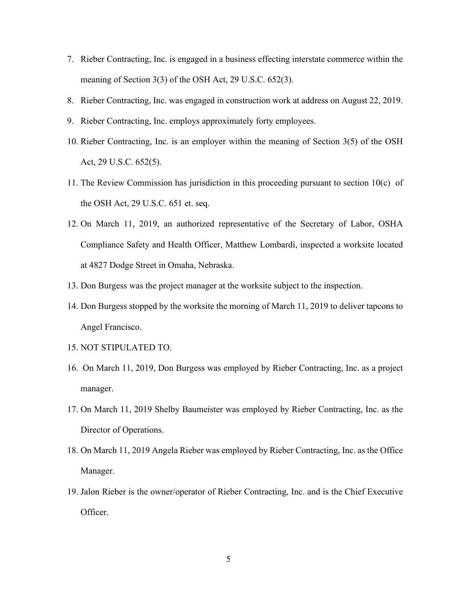- 7. Rieber Contracting, Inc. is engaged in a business effecting interstate commerce within the meaning of Section 3(3) of the OSH Act, 29 U.S.C. 652(3).
- 8. Rieber Contracting, Inc. was engaged in construction work at address on August 22, 2019.
- 9. Rieber Contracting, Inc. employs approximately forty employees.
- 10. Rieber Contracting, Inc. is an employer within the meaning of Section 3(5) of the OSH Act, 29 U.S.C. 652(5).
- 11. The Review Commission has jurisdiction in this proceeding pursuant to section 10(c) of the OSH Act, 29 U.S.C. 651 et. seq.
- 12. On March 11, 2019, an authorized representative of the Secretary of Labor, OSHA Compliance Safety and Health Officer, Matthew Lombardi, inspected a worksite located at 4827 Dodge Street in Omaha, Nebraska.
- 13. Don Burgess was the project manager at the worksite subject to the inspection.
- 14. Don Burgess stopped by the worksite the morning of March 11, 2019 to deliver tapcons to Angel Francisco.
- 15. NOT STIPULATED TO.
- 16. On March 11, 2019, Don Burgess was employed by Rieber Contracting, Inc. as a project manager.
- 17. On March 11, 2019 Shelby Baumeister was employed by Rieber Contracting, Inc. as the Director of Operations.
- 18. On March 11, 2019 Angela Rieber was employed by Rieber Contracting, Inc. as the Office Manager.
- 19. Jalon Rieber is the owner/operator of Rieber Contracting, Inc. and is the Chief Executive Officer.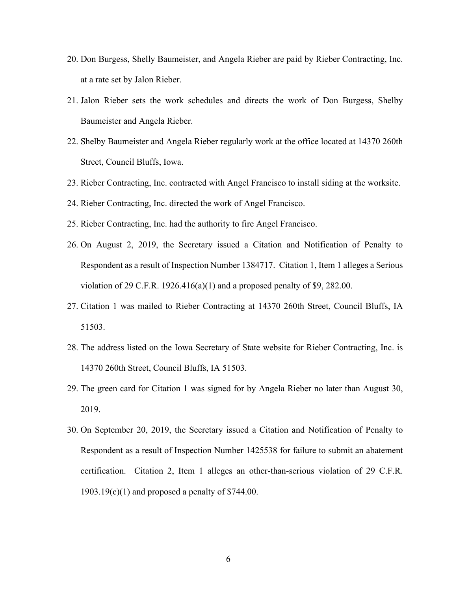- 20. Don Burgess, Shelly Baumeister, and Angela Rieber are paid by Rieber Contracting, Inc. at a rate set by Jalon Rieber.
- 21. Jalon Rieber sets the work schedules and directs the work of Don Burgess, Shelby Baumeister and Angela Rieber.
- 22. Shelby Baumeister and Angela Rieber regularly work at the office located at 14370 260th Street, Council Bluffs, Iowa.
- 23. Rieber Contracting, Inc. contracted with Angel Francisco to install siding at the worksite.
- 24. Rieber Contracting, Inc. directed the work of Angel Francisco.
- 25. Rieber Contracting, Inc. had the authority to fire Angel Francisco.
- 26. On August 2, 2019, the Secretary issued a Citation and Notification of Penalty to Respondent as a result of Inspection Number 1384717. Citation 1, Item 1 alleges a Serious violation of 29 C.F.R. 1926.416(a)(1) and a proposed penalty of \$9, 282.00.
- 27. Citation 1 was mailed to Rieber Contracting at 14370 260th Street, Council Bluffs, IA 51503.
- 28. The address listed on the Iowa Secretary of State website for Rieber Contracting, Inc. is 14370 260th Street, Council Bluffs, IA 51503.
- 29. The green card for Citation 1 was signed for by Angela Rieber no later than August 30, 2019.
- 30. On September 20, 2019, the Secretary issued a Citation and Notification of Penalty to Respondent as a result of Inspection Number 1425538 for failure to submit an abatement certification. Citation 2, Item 1 alleges an other-than-serious violation of 29 C.F.R.  $1903.19(c)(1)$  and proposed a penalty of \$744.00.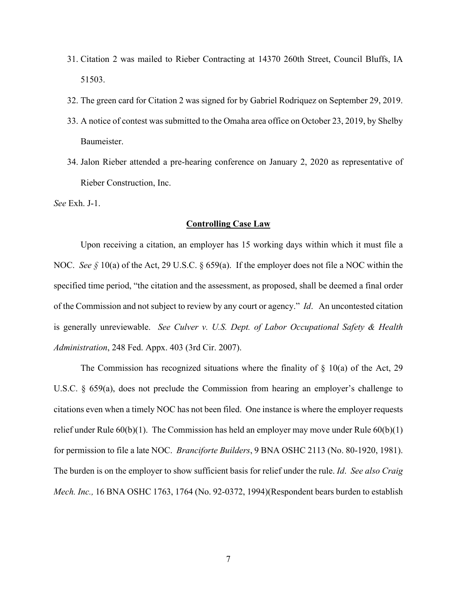- 31. Citation 2 was mailed to Rieber Contracting at 14370 260th Street, Council Bluffs, IA 51503.
- 32. The green card for Citation 2 was signed for by Gabriel Rodriquez on September 29, 2019.
- 33. A notice of contest was submitted to the Omaha area office on October 23, 2019, by Shelby Baumeister.
- 34. Jalon Rieber attended a pre-hearing conference on January 2, 2020 as representative of Rieber Construction, Inc.

*See* Exh. J-1.

#### **Controlling Case Law**

Upon receiving a citation, an employer has 15 working days within which it must file a NOC. *See §* 10(a) of the Act, 29 U.S.C. § 659(a). If the employer does not file a NOC within the specified time period, "the citation and the assessment, as proposed, shall be deemed a final order of the Commission and not subject to review by any court or agency." *Id*. An uncontested citation is generally unreviewable. *See Culver v. U.S. Dept. of Labor Occupational Safety & Health Administration*, 248 Fed. Appx. 403 (3rd Cir. 2007).

The Commission has recognized situations where the finality of  $\S$  10(a) of the Act, 29 U.S.C. § 659(a), does not preclude the Commission from hearing an employer's challenge to citations even when a timely NOC has not been filed. One instance is where the employer requests relief under Rule  $60(b)(1)$ . The Commission has held an employer may move under Rule  $60(b)(1)$ for permission to file a late NOC. *Branciforte Builders*, 9 BNA OSHC 2113 (No. 80-1920, 1981). The burden is on the employer to show sufficient basis for relief under the rule. *Id*. *See also Craig Mech. Inc.,* 16 BNA OSHC 1763, 1764 (No. 92-0372, 1994)(Respondent bears burden to establish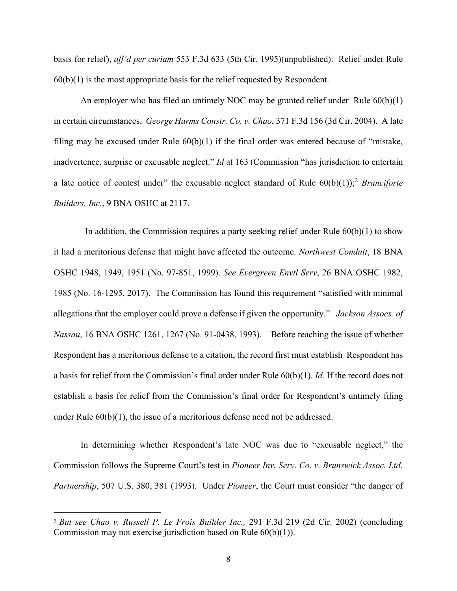basis for relief), *aff'd per curiam* 553 F.3d 633 (5th Cir. 1995)(unpublished). Relief under Rule  $60(b)(1)$  is the most appropriate basis for the relief requested by Respondent.

An employer who has filed an untimely NOC may be granted relief under Rule 60(b)(1) in certain circumstances. *George Harms Constr. Co. v. Chao*, 371 F.3d 156 (3d Cir. 2004). A late filing may be excused under Rule  $60(b)(1)$  if the final order was entered because of "mistake, inadvertence, surprise or excusable neglect." *Id* at 163 (Commission "has jurisdiction to entertain a late notice of contest under" the excusable neglect standard of Rule 60(b)(1));[2](#page-7-0) *Branciforte Builders, Inc.*, 9 BNA OSHC at 2117.

In addition, the Commission requires a party seeking relief under Rule  $60(b)(1)$  to show it had a meritorious defense that might have affected the outcome. *Northwest Conduit*, 18 BNA OSHC 1948, 1949, 1951 (No. 97-851, 1999). *See Evergreen Envtl Serv*, 26 BNA OSHC 1982, 1985 (No. 16-1295, 2017). The Commission has found this requirement "satisfied with minimal allegations that the employer could prove a defense if given the opportunity." *Jackson Assocs. of Nassau*, 16 BNA OSHC 1261, 1267 (No. 91-0438, 1993). Before reaching the issue of whether Respondent has a meritorious defense to a citation, the record first must establish Respondent has a basis for relief from the Commission's final order under Rule 60(b)(1). *Id.* If the record does not establish a basis for relief from the Commission's final order for Respondent's untimely filing under Rule  $60(b)(1)$ , the issue of a meritorious defense need not be addressed.

 In determining whether Respondent's late NOC was due to "excusable neglect," the Commission follows the Supreme Court's test in *Pioneer Inv. Serv. Co. v. Brunswick Assoc. Ltd. Partnership*, 507 U.S. 380, 381 (1993). Under *Pioneer*, the Court must consider "the danger of

<span id="page-7-0"></span><sup>2</sup> *But see Chao v. Russell P. Le Frois Builder Inc.,* 291 F.3d 219 (2d Cir. 2002) (concluding Commission may not exercise jurisdiction based on Rule 60(b)(1)).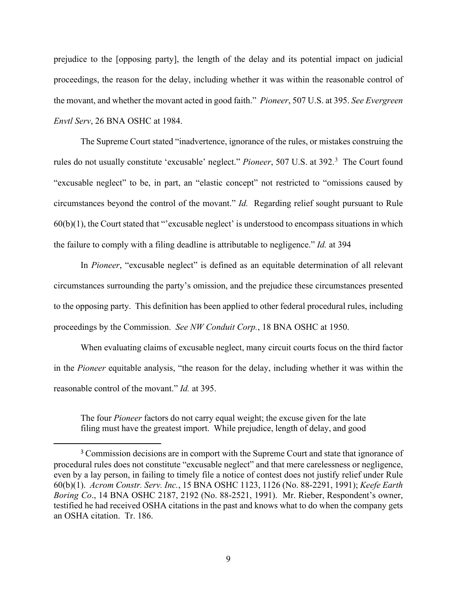prejudice to the [opposing party], the length of the delay and its potential impact on judicial proceedings, the reason for the delay, including whether it was within the reasonable control of the movant, and whether the movant acted in good faith." *Pioneer*, 507 U.S. at 395. *See Evergreen Envtl Serv*, 26 BNA OSHC at 1984.

 The Supreme Court stated "inadvertence, ignorance of the rules, or mistakes construing the rules do not usually constitute 'excusable' neglect." Pioneer, 507 U.S. at [3](#page-8-0)92.<sup>3</sup> The Court found "excusable neglect" to be, in part, an "elastic concept" not restricted to "omissions caused by circumstances beyond the control of the movant." *Id.* Regarding relief sought pursuant to Rule 60(b)(1), the Court stated that "'excusable neglect' is understood to encompass situations in which the failure to comply with a filing deadline is attributable to negligence." *Id.* at 394

In *Pioneer*, "excusable neglect" is defined as an equitable determination of all relevant circumstances surrounding the party's omission, and the prejudice these circumstances presented to the opposing party. This definition has been applied to other federal procedural rules, including proceedings by the Commission. *See NW Conduit Corp.*, 18 BNA OSHC at 1950.

When evaluating claims of excusable neglect, many circuit courts focus on the third factor in the *Pioneer* equitable analysis, "the reason for the delay, including whether it was within the reasonable control of the movant." *Id.* at 395.

The four *Pioneer* factors do not carry equal weight; the excuse given for the late filing must have the greatest import. While prejudice, length of delay, and good

<span id="page-8-0"></span><sup>&</sup>lt;sup>3</sup> Commission decisions are in comport with the Supreme Court and state that ignorance of procedural rules does not constitute "excusable neglect" and that mere carelessness or negligence, even by a lay person, in failing to timely file a notice of contest does not justify relief under Rule 60(b)(1). *Acrom Constr. Serv. Inc.*, 15 BNA OSHC 1123, 1126 (No. 88-2291, 1991); *Keefe Earth Boring Co*., 14 BNA OSHC 2187, 2192 (No. 88-2521, 1991). Mr. Rieber, Respondent's owner, testified he had received OSHA citations in the past and knows what to do when the company gets an OSHA citation. Tr. 186.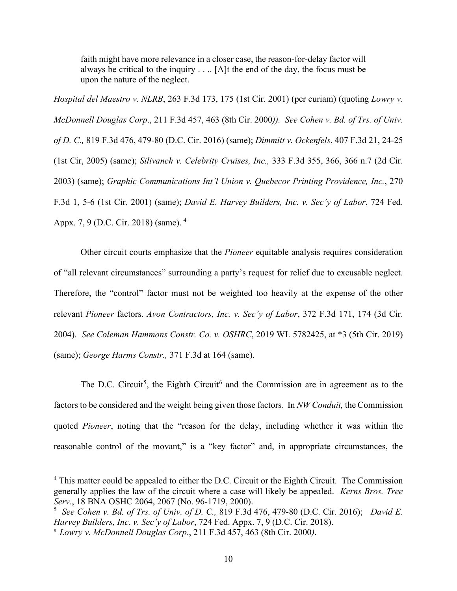faith might have more relevance in a closer case, the reason-for-delay factor will always be critical to the inquiry . . .. [A]t the end of the day, the focus must be upon the nature of the neglect.

*Hospital del Maestro v. NLRB*, 263 F.3d 173, 175 (1st Cir. 2001) (per curiam) (quoting *Lowry v. McDonnell Douglas Corp*., 211 F.3d 457, 463 (8th Cir. 2000*)). See Cohen v. Bd. of Trs. of Univ. of D. C.,* 819 F.3d 476, 479-80 (D.C. Cir. 2016) (same); *Dimmitt v. Ockenfels*, 407 F.3d 21, 24-25 (1st Cir, 2005) (same); *Silivanch v. Celebrity Cruises, Inc.,* 333 F.3d 355, 366, 366 n.7 (2d Cir. 2003) (same); *Graphic Communications Int'l Union v. Quebecor Printing Providence, Inc.*, 270 F.3d 1, 5-6 (1st Cir. 2001) (same); *David E. Harvey Builders, Inc. v. Sec'y of Labor*, 724 Fed. Appx. 7, 9 (D.C. Cir. 2018) (same). <sup>[4](#page-9-0)</sup>

Other circuit courts emphasize that the *Pioneer* equitable analysis requires consideration of "all relevant circumstances" surrounding a party's request for relief due to excusable neglect. Therefore, the "control" factor must not be weighted too heavily at the expense of the other relevant *Pioneer* factors. *Avon Contractors, Inc. v. Sec'y of Labor*, 372 F.3d 171, 174 (3d Cir. 2004). *See Coleman Hammons Constr. Co. v. OSHRC*, 2019 WL 5782425, at \*3 (5th Cir. 2019) (same); *George Harms Constr.,* 371 F.3d at 164 (same).

The D.C. Circuit<sup>[5](#page-9-1)</sup>, the Eighth Circuit<sup>[6](#page-9-2)</sup> and the Commission are in agreement as to the factors to be considered and the weight being given those factors. In *NW Conduit,* the Commission quoted *Pioneer*, noting that the "reason for the delay, including whether it was within the reasonable control of the movant," is a "key factor" and, in appropriate circumstances, the

<span id="page-9-0"></span><sup>&</sup>lt;sup>4</sup> This matter could be appealed to either the D.C. Circuit or the Eighth Circuit. The Commission generally applies the law of the circuit where a case will likely be appealed. *Kerns Bros. Tree Serv*., 18 BNA OSHC 2064, 2067 (No. 96-1719, 2000).

<span id="page-9-1"></span><sup>5</sup> *See Cohen v. Bd. of Trs. of Univ. of D. C.,* 819 F.3d 476, 479-80 (D.C. Cir. 2016); *David E. Harvey Builders, Inc. v. Sec'y of Labor*, 724 Fed. Appx. 7, 9 (D.C. Cir. 2018).

<span id="page-9-2"></span><sup>6</sup> *Lowry v. McDonnell Douglas Corp*., 211 F.3d 457, 463 (8th Cir. 2000*)*.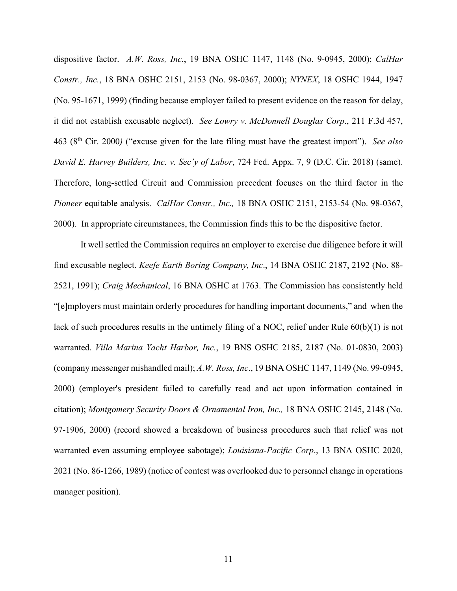dispositive factor. *A.W. Ross, Inc.*, 19 BNA OSHC 1147, 1148 (No. 9-0945, 2000); *CalHar Constr., Inc.*, 18 BNA OSHC 2151, 2153 (No. 98-0367, 2000); *NYNEX*, 18 OSHC 1944, 1947 (No. 95-1671, 1999) (finding because employer failed to present evidence on the reason for delay, it did not establish excusable neglect). *See Lowry v. McDonnell Douglas Corp*., 211 F.3d 457, 463 (8th Cir. 2000*)* ("excuse given for the late filing must have the greatest import"). *See also David E. Harvey Builders, Inc. v. Sec'y of Labor*, 724 Fed. Appx. 7, 9 (D.C. Cir. 2018) (same). Therefore, long-settled Circuit and Commission precedent focuses on the third factor in the *Pioneer* equitable analysis. *CalHar Constr., Inc.,* 18 BNA OSHC 2151, 2153-54 (No. 98-0367, 2000). In appropriate circumstances, the Commission finds this to be the dispositive factor.

It well settled the Commission requires an employer to exercise due diligence before it will find excusable neglect. *Keefe Earth Boring Company, Inc*., 14 BNA OSHC 2187, 2192 (No. 88- 2521, 1991); *Craig Mechanical*, 16 BNA OSHC at 1763. The Commission has consistently held "[e]mployers must maintain orderly procedures for handling important documents," and when the lack of such procedures results in the untimely filing of a NOC, relief under Rule 60(b)(1) is not warranted. *Villa Marina Yacht Harbor, Inc.*, 19 BNS OSHC 2185, 2187 (No. 01-0830, 2003) (company messenger mishandled mail); *A.W. Ross, Inc*., 19 BNA OSHC 1147, 1149 (No. 99-0945, 2000) (employer's president failed to carefully read and act upon information contained in citation); *Montgomery Security Doors & Ornamental Iron, Inc.,* 18 BNA OSHC 2145, 2148 (No. 97-1906, 2000) (record showed a breakdown of business procedures such that relief was not warranted even assuming employee sabotage); *Louisiana-Pacific Corp*., 13 BNA OSHC 2020, 2021 (No. 86-1266, 1989) (notice of contest was overlooked due to personnel change in operations manager position).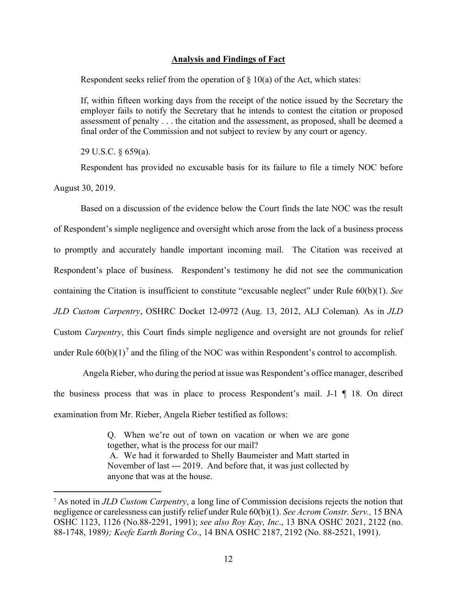### **Analysis and Findings of Fact**

Respondent seeks relief from the operation of  $\S$  10(a) of the Act, which states:

If, within fifteen working days from the receipt of the notice issued by the Secretary the employer fails to notify the Secretary that he intends to contest the citation or proposed assessment of penalty . . . the citation and the assessment, as proposed, shall be deemed a final order of the Commission and not subject to review by any court or agency.

29 U.S.C. § 659(a).

Respondent has provided no excusable basis for its failure to file a timely NOC before

August 30, 2019.

Based on a discussion of the evidence below the Court finds the late NOC was the result of Respondent's simple negligence and oversight which arose from the lack of a business process to promptly and accurately handle important incoming mail. The Citation was received at Respondent's place of business. Respondent's testimony he did not see the communication containing the Citation is insufficient to constitute "excusable neglect" under Rule 60(b)(1). *See JLD Custom Carpentry*, OSHRC Docket 12-0972 (Aug. 13, 2012, ALJ Coleman)*.* As in *JLD*  Custom *Carpentry*, this Court finds simple negligence and oversight are not grounds for relief under Rule  $60(b)(1)^7$  $60(b)(1)^7$  and the filing of the NOC was within Respondent's control to accomplish.

Angela Rieber, who during the period at issue was Respondent's office manager, described the business process that was in place to process Respondent's mail. J-1 ¶ 18. On direct examination from Mr. Rieber, Angela Rieber testified as follows:

> Q. When we're out of town on vacation or when we are gone together, what is the process for our mail? A. We had it forwarded to Shelly Baumeister and Matt started in November of last --- 2019. And before that, it was just collected by anyone that was at the house.

<span id="page-11-0"></span><sup>7</sup> As noted in *JLD Custom Carpentry*, a long line of Commission decisions rejects the notion that negligence or carelessness can justify relief under Rule 60(b)(1). *See Acrom Constr. Serv.,* 15 BNA OSHC 1123, 1126 (No.88-2291, 1991); *see also Roy Kay, Inc*., 13 BNA OSHC 2021, 2122 (no. 88-1748, 1989*); Keefe Earth Boring Co*., 14 BNA OSHC 2187, 2192 (No. 88-2521, 1991).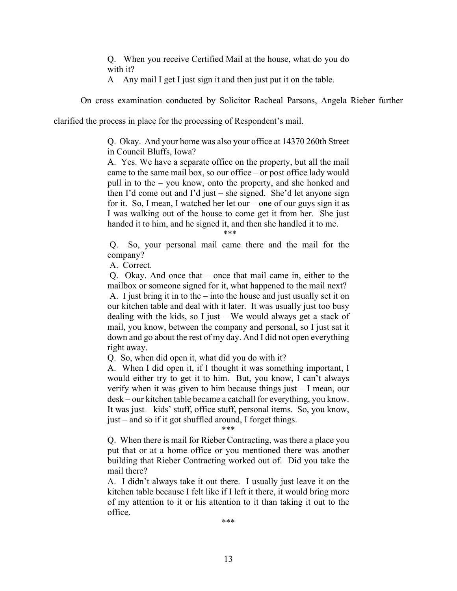Q. When you receive Certified Mail at the house, what do you do with it?

A Any mail I get I just sign it and then just put it on the table.

On cross examination conducted by Solicitor Racheal Parsons, Angela Rieber further

clarified the process in place for the processing of Respondent's mail.

Q. Okay. And your home was also your office at 14370 260th Street in Council Bluffs, Iowa?

A. Yes. We have a separate office on the property, but all the mail came to the same mail box, so our office – or post office lady would pull in to the – you know, onto the property, and she honked and then I'd come out and I'd just – she signed. She'd let anyone sign for it. So, I mean, I watched her let our – one of our guys sign it as I was walking out of the house to come get it from her. She just handed it to him, and he signed it, and then she handled it to me.

\*\*\*

Q. So, your personal mail came there and the mail for the company?

A. Correct.

Q. Okay. And once that – once that mail came in, either to the mailbox or someone signed for it, what happened to the mail next?

A. I just bring it in to the – into the house and just usually set it on our kitchen table and deal with it later. It was usually just too busy dealing with the kids, so I just – We would always get a stack of mail, you know, between the company and personal, so I just sat it down and go about the rest of my day. And I did not open everything right away.

Q. So, when did open it, what did you do with it?

A. When I did open it, if I thought it was something important, I would either try to get it to him. But, you know, I can't always verify when it was given to him because things just – I mean, our desk – our kitchen table became a catchall for everything, you know. It was just – kids' stuff, office stuff, personal items. So, you know, just – and so if it got shuffled around, I forget things.

\*\*\*

Q. When there is mail for Rieber Contracting, was there a place you put that or at a home office or you mentioned there was another building that Rieber Contracting worked out of. Did you take the mail there?

A. I didn't always take it out there. I usually just leave it on the kitchen table because I felt like if I left it there, it would bring more of my attention to it or his attention to it than taking it out to the office.

\*\*\*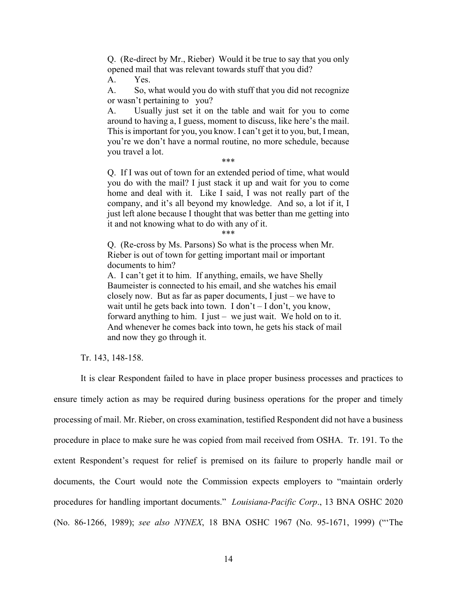Q. (Re-direct by Mr., Rieber) Would it be true to say that you only opened mail that was relevant towards stuff that you did?

A. Yes.

A. So, what would you do with stuff that you did not recognize or wasn't pertaining to you?

A. Usually just set it on the table and wait for you to come around to having a, I guess, moment to discuss, like here's the mail. This is important for you, you know. I can't get it to you, but, I mean, you're we don't have a normal routine, no more schedule, because you travel a lot.

\*\*\*

Q. If I was out of town for an extended period of time, what would you do with the mail? I just stack it up and wait for you to come home and deal with it. Like I said, I was not really part of the company, and it's all beyond my knowledge. And so, a lot if it, I just left alone because I thought that was better than me getting into it and not knowing what to do with any of it.

\*\*\*

Q. (Re-cross by Ms. Parsons) So what is the process when Mr. Rieber is out of town for getting important mail or important documents to him?

A. I can't get it to him. If anything, emails, we have Shelly Baumeister is connected to his email, and she watches his email closely now. But as far as paper documents, I just – we have to wait until he gets back into town. I don't  $-$  I don't, you know, forward anything to him. I just – we just wait. We hold on to it. And whenever he comes back into town, he gets his stack of mail and now they go through it.

Tr. 143, 148-158.

It is clear Respondent failed to have in place proper business processes and practices to ensure timely action as may be required during business operations for the proper and timely processing of mail. Mr. Rieber, on cross examination, testified Respondent did not have a business procedure in place to make sure he was copied from mail received from OSHA. Tr. 191. To the extent Respondent's request for relief is premised on its failure to properly handle mail or documents, the Court would note the Commission expects employers to "maintain orderly procedures for handling important documents." *Louisiana-Pacific Corp*., 13 BNA OSHC 2020 (No. 86-1266, 1989); *see also NYNEX*, 18 BNA OSHC 1967 (No. 95-1671, 1999) ("'The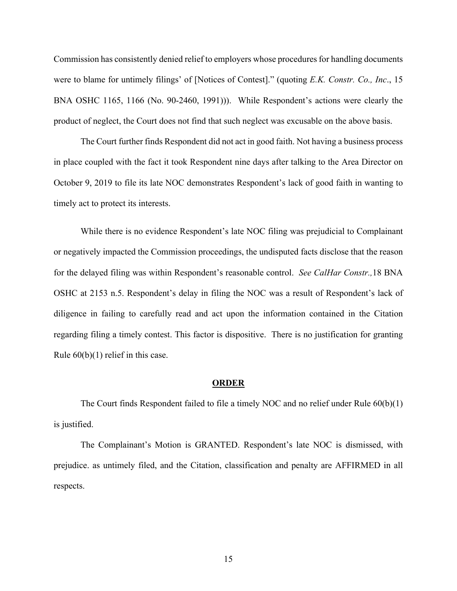Commission has consistently denied relief to employers whose procedures for handling documents were to blame for untimely filings' of [Notices of Contest]." (quoting *E.K. Constr. Co., Inc*., 15 BNA OSHC 1165, 1166 (No. 90-2460, 1991))). While Respondent's actions were clearly the product of neglect, the Court does not find that such neglect was excusable on the above basis.

The Court further finds Respondent did not act in good faith. Not having a business process in place coupled with the fact it took Respondent nine days after talking to the Area Director on October 9, 2019 to file its late NOC demonstrates Respondent's lack of good faith in wanting to timely act to protect its interests.

While there is no evidence Respondent's late NOC filing was prejudicial to Complainant or negatively impacted the Commission proceedings, the undisputed facts disclose that the reason for the delayed filing was within Respondent's reasonable control. *See CalHar Constr.,*18 BNA OSHC at 2153 n.5. Respondent's delay in filing the NOC was a result of Respondent's lack of diligence in failing to carefully read and act upon the information contained in the Citation regarding filing a timely contest. This factor is dispositive. There is no justification for granting Rule 60(b)(1) relief in this case.

#### **ORDER**

 The Court finds Respondent failed to file a timely NOC and no relief under Rule 60(b)(1) is justified.

The Complainant's Motion is GRANTED. Respondent's late NOC is dismissed, with prejudice. as untimely filed, and the Citation, classification and penalty are AFFIRMED in all respects.

15